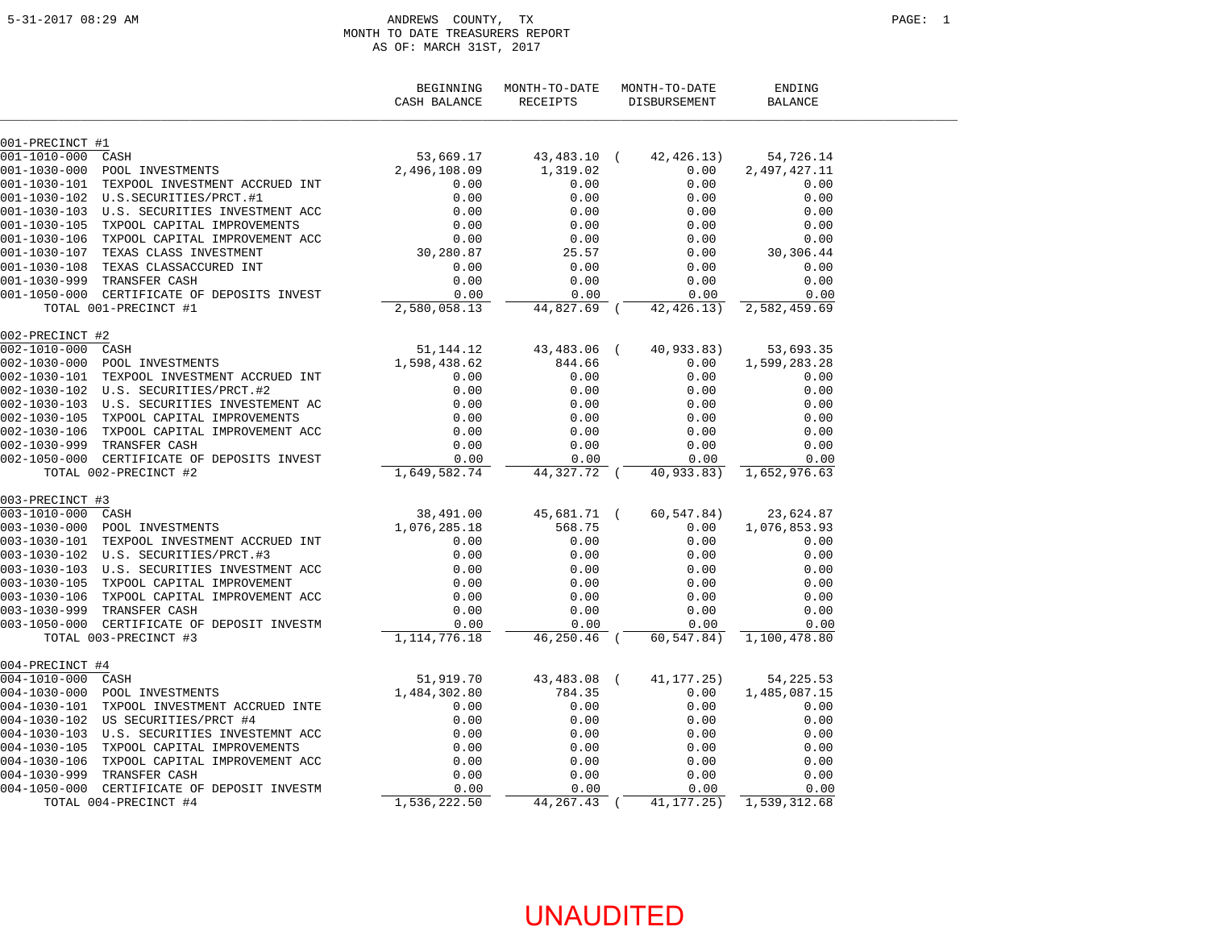#### ANDREWS COUNTY, TX PAGE: 1 MONTH TO DATE TREASURERS REPORT AS OF: MARCH 31ST, 2017

|                   |                                                                                         | BEGINNING<br>CASH BALANCE | MONTH-TO-DATE<br>RECEIPTS | MONTH-TO-DATE<br>DISBURSEMENT | ENDING<br><b>BALANCE</b>   |  |
|-------------------|-----------------------------------------------------------------------------------------|---------------------------|---------------------------|-------------------------------|----------------------------|--|
| 001-PRECINCT #1   |                                                                                         |                           |                           |                               |                            |  |
| 001-1010-000 CASH |                                                                                         | 53,669.17                 | 43,483.10 (               | 42,426.13)                    | 54,726.14                  |  |
| 001-1030-000      | POOL INVESTMENTS                                                                        | 2,496,108.09              | 1,319.02                  | 0.00                          | 2,497,427.11               |  |
|                   | 001-1030-101 TEXPOOL INVESTMENT ACCRUED INT                                             | 0.00                      | 0.00                      | 0.00                          | 0.00                       |  |
|                   | 001-1030-102 U.S.SECURITIES/PRCT.#1                                                     | 0.00                      | 0.00                      | 0.00                          | 0.00                       |  |
|                   | 001-1030-103 U.S. SECURITIES INVESTMENT ACC                                             | 0.00                      | 0.00                      | 0.00                          | 0.00                       |  |
|                   | 001-1030-105 TXPOOL CAPITAL IMPROVEMENTS                                                | 0.00                      | 0.00                      | 0.00                          | 0.00                       |  |
|                   | 001-1030-106 TXPOOL CAPITAL IMPROVEMENT ACC                                             | $0.00$<br>30,280.87       | 0.00                      | 0.00                          | 0.00                       |  |
|                   | 001-1030-107 TEXAS CLASS INVESTMENT                                                     |                           | 25.57                     | 0.00                          | 30,306.44                  |  |
|                   | 001-1030-108 TEXAS CLASSACCURED INT                                                     | 0.00                      | 0.00                      | 0.00                          | 0.00                       |  |
|                   | 001-1030-999 TRANSFER CASH                                                              | 0.00                      | 0.00                      | 0.00                          | 0.00                       |  |
|                   | 001-1050-000 CERTIFICATE OF DEPOSITS INVEST                                             | 0.00                      | 0.00                      | 0.00                          | 0.00                       |  |
|                   | TOTAL 001-PRECINCT #1                                                                   | 2,580,058.13              | 44,827.69 (               | 42,426.13)                    | 2,582,459.69               |  |
| 002-PRECINCT #2   |                                                                                         |                           |                           |                               |                            |  |
|                   |                                                                                         | 51,144.12<br>1,598,438.62 | 43,483.06 (               | 40,933.83)                    | 53,693.35                  |  |
|                   |                                                                                         |                           | 844.66                    | 0.00                          | 1,599,283.28               |  |
|                   | 002-1030-101 TEXPOOL INVESTMENT ACCRUED INT                                             | 0.00                      | 0.00                      | 0.00                          | 0.00                       |  |
|                   | 002-1030-102 U.S. SECURITIES/PRCT.#2                                                    | 0.00                      | 0.00                      | 0.00                          | 0.00                       |  |
|                   | 002-1030-103 U.S. SECURITIES INVESTEMENT AC                                             | 0.00                      | 0.00                      | 0.00                          | 0.00                       |  |
|                   | 002-1030-105 TXPOOL CAPITAL IMPROVEMENTS                                                | 0.00                      | 0.00                      | 0.00                          | 0.00                       |  |
|                   | 002-1030-106 TXPOOL CAPITAL IMPROVEMENT ACC                                             | 0.00                      | 0.00                      | 0.00                          | 0.00                       |  |
|                   | 002-1030-999 TRANSFER CASH                                                              | 0.00                      | 0.00                      | 0.00                          | 0.00                       |  |
|                   | 002-1050-000 CERTIFICATE OF DEPOSITS INVEST                                             | 0.00                      | 0.00                      | 0.00                          | 0.00                       |  |
|                   | TOTAL 002-PRECINCT #2                                                                   | 1,649,582.74              | 44,327.72 (               | 40,933.83)                    | 1,652,976.63               |  |
| 003-PRECINCT #3   |                                                                                         |                           |                           |                               |                            |  |
|                   |                                                                                         | 38,491.00<br>1,076,285.18 | 45,681.71 (               | 60,547.84)                    | 23,624.87                  |  |
|                   |                                                                                         |                           | 568.75                    | 0.00                          | 1,076,853.93               |  |
|                   | 003-1030-101 TEXPOOL INVESTMENT ACCRUED INT                                             | 0.00                      | 0.00                      | 0.00                          | 0.00                       |  |
|                   |                                                                                         | 0.00                      | 0.00                      | 0.00                          | 0.00                       |  |
|                   | 003-1030-103 U.S. SECURITIES INVESTMENT ACC                                             | 0.00                      | 0.00                      | 0.00                          | 0.00                       |  |
|                   | 003-1030-105 TXPOOL CAPITAL IMPROVEMENT                                                 | 0.00                      | 0.00                      | 0.00                          | 0.00                       |  |
|                   | 003-1030-106 TXPOOL CAPITAL IMPROVEMENT ACC                                             | 0.00                      | 0.00                      | 0.00                          | 0.00                       |  |
|                   | 003-1030-999 TRANSFER CASH                                                              | 0.00                      | 0.00                      | 0.00                          | 0.00                       |  |
|                   | 003-1050-000 CERTIFICATE OF DEPOSIT INVESTM                                             | 0.00                      | 0.00                      | 0.00                          | 0.00                       |  |
|                   | TOTAL 003-PRECINCT #3                                                                   | 1, 114, 776. 18           | 46,250.46 (               |                               | 60, 547.84) 1, 100, 478.80 |  |
| 004-PRECINCT #4   |                                                                                         |                           |                           |                               |                            |  |
| 004-1010-000 CASH | $T$ S                                                                                   | 51,919.70<br>1,484,302.80 | 43,483.08 (               | 41,177.25)                    | 54, 225. 53                |  |
|                   | 004-1030-000 POOL INVESTMENTS                                                           |                           | 784.35                    | 0.00                          | 1,485,087.15               |  |
|                   | 004-1030-101 TXPOOL INVESTMENT ACCRUED INTE                                             | 0.00                      | 0.00                      | 0.00                          | 0.00                       |  |
|                   | 004-1030-102 US SECURITIES/PRCT #4                                                      | 0.00                      | 0.00                      | 0.00                          | 0.00                       |  |
|                   | 004-1030-103 U.S. SECURITIES INVESTEMNT ACC                                             | 0.00                      | 0.00                      | 0.00                          | 0.00                       |  |
|                   | 004-1030-103 0.S. SECORITIES INVESTEMNI ACC<br>004-1030-105 TXPOOL CAPITAL IMPROVEMENTS | 0.00                      | 0.00                      | 0.00                          | 0.00                       |  |
|                   | 004-1030-106 TXPOOL CAPITAL IMPROVEMENT ACC                                             | 0.00                      | 0.00                      | 0.00                          | 0.00                       |  |
|                   | 004-1030-999 TRANSFER CASH                                                              | 0.00                      | 0.00                      | 0.00                          | 0.00                       |  |
|                   | 004-1050-000 CERTIFICATE OF DEPOSIT INVESTM                                             | 0.00                      | 0.00                      | 0.00                          | 0.00                       |  |
|                   | TOTAL 004-PRECINCT #4                                                                   | 1,536,222.50              | 44, 267. 43 (             | 41, 177. 25)                  | 1,539,312.68               |  |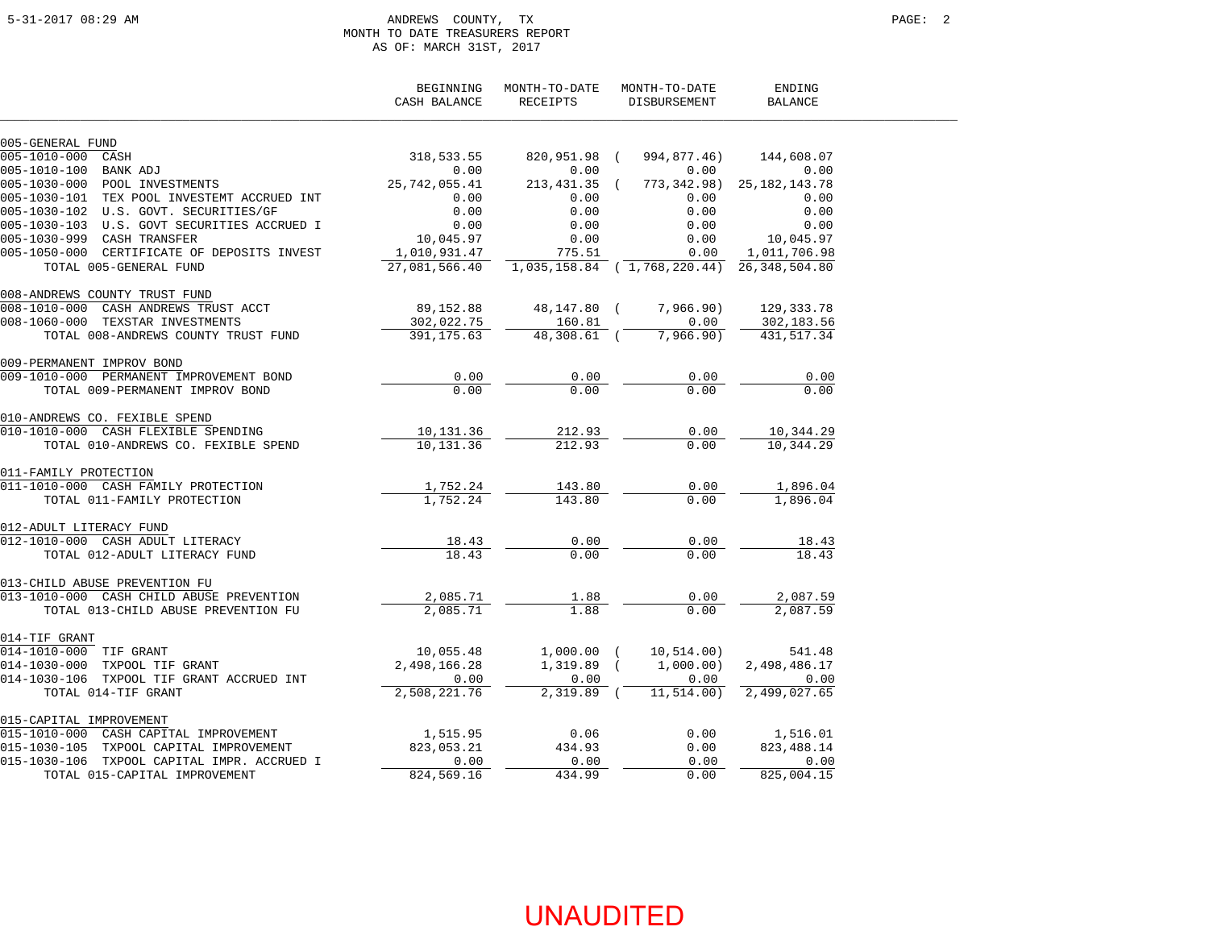#### 5-31-2017 08:29 AM ANDREWS COUNTY, TX PAGE: 2 MONTH TO DATE TREASURERS REPORT AS OF: MARCH 31ST, 2017

|                                                        | BEGINNING<br>CASH BALANCE | MONTH-TO-DATE<br>RECEIPTS | MONTH-TO-DATE<br>DISBURSEMENT | ENDING<br><b>BALANCE</b> |  |
|--------------------------------------------------------|---------------------------|---------------------------|-------------------------------|--------------------------|--|
| 005-GENERAL FUND                                       |                           |                           |                               |                          |  |
| 005-1010-000 CASH                                      | 318,533.55                | 820,951.98 (              | 994,877.46)                   | 144,608.07               |  |
| 005-1010-100 BANK ADJ<br>005-1030-000 POOL INVESTMENTS | 0.00                      | 0.00                      | 0.00                          | 0.00                     |  |
|                                                        | 25,742,055.41             | $213,431.35$ (            | 773,342.98)                   | 25, 182, 143. 78         |  |
| 005-1030-101 TEX POOL INVESTEMT ACCRUED INT            | 0.00                      | 0.00                      | 0.00                          | 0.00                     |  |
| 005-1030-102 U.S. GOVT. SECURITIES/GF                  | 0.00                      | 0.00                      | 0.00                          | 0.00                     |  |
| 005-1030-103 U.S. GOVT SECURITIES ACCRUED I            | 0.00                      | 0.00                      | 0.00                          | 0.00                     |  |
| 005-1030-999 CASH TRANSFER                             | 10,045.97                 | 0.00                      | 0.00                          | 10,045.97                |  |
| 005-1050-000 CERTIFICATE OF DEPOSITS INVEST            | 1,010,931.47              | 775.51                    | 0.00                          | 1,011,706.98             |  |
| TOTAL 005-GENERAL FUND                                 | 27,081,566.40             |                           | 1,035,158.84 (1,768,220.44)   | 26, 348, 504.80          |  |
| 008-ANDREWS COUNTY TRUST FUND                          |                           |                           |                               |                          |  |
| 008-1010-000 CASH ANDREWS TRUST ACCT                   | 89,152.88                 | 48,147.80 (               | 7,966.90)                     | 129,333.78               |  |
| 008-1060-000 TEXSTAR INVESTMENTS                       | 302,022.75                | 160.81                    | 0.00                          | 302,183.56               |  |
| TOTAL 008-ANDREWS COUNTY TRUST FUND                    | 391,175.63                | 48,308.61 (               | 7,966.90)                     | 431,517.34               |  |
| 009-PERMANENT IMPROV BOND                              |                           |                           |                               |                          |  |
| 009-1010-000 PERMANENT IMPROVEMENT BOND                | 0.00                      | 0.00                      | 0.00                          | 0.00                     |  |
| TOTAL 009-PERMANENT IMPROV BOND                        | 0.00                      | 0.00                      | 0.00                          | 0.00                     |  |
| 010-ANDREWS CO. FEXIBLE SPEND                          |                           |                           |                               |                          |  |
| 010-1010-000 CASH FLEXIBLE SPENDING                    | 10,131.36                 | 212.93                    | 0.00                          | 10,344.29                |  |
| TOTAL 010-ANDREWS CO. FEXIBLE SPEND                    | 10,131.36                 | 212.93                    | 0.00                          | 10,344.29                |  |
| 011-FAMILY PROTECTION                                  |                           |                           |                               |                          |  |
| 011-1010-000 CASH FAMILY PROTECTION                    | 1,752.24                  | 143.80                    | 0.00                          | 1,896.04                 |  |
| TOTAL 011-FAMILY PROTECTION                            | 1,752.24                  | 143.80                    | 0.00                          | 1,896.04                 |  |
| 012-ADULT LITERACY FUND                                |                           |                           |                               |                          |  |
| 012-1010-000 CASH ADULT LITERACY                       | 18.43                     | 0.00                      | 0.00                          | 18.43                    |  |
| TOTAL 012-ADULT LITERACY FUND                          | 18.43                     | 0.00                      | 0.00                          | 18.43                    |  |
| 013-CHILD ABUSE PREVENTION FU                          |                           |                           |                               |                          |  |
| 013-1010-000 CASH CHILD ABUSE PREVENTION               | 2,085.71                  | 1.88                      | 0.00                          | 2,087.59                 |  |
| TOTAL 013-CHILD ABUSE PREVENTION FU                    | 2,085.71                  | 1.88                      | 0.00                          | 2,087.59                 |  |
| 014-TIF GRANT                                          |                           |                           |                               |                          |  |
| 014-1010-000 TIF GRANT                                 | 10,055.48                 | $1,000.00$ (              | 10,514.00)                    | 541.48                   |  |
| 014-1030-000 TXPOOL TIF GRANT                          | 2,498,166.28              | $1,319.89$ (              | 1,000.00)                     | 2,498,486.17             |  |
| 014-1030-106 TXPOOL TIF GRANT ACCRUED INT              | 0.00                      | 0.00                      | 0.00                          | 0.00                     |  |
| TOTAL 014-TIF GRANT                                    | 2,508,221.76              | $2,319.89$ (              | 11, 514.00)                   | 2,499,027.65             |  |
| 015-CAPITAL IMPROVEMENT                                |                           |                           |                               |                          |  |
| 015-1010-000 CASH CAPITAL IMPROVEMENT                  | 1,515.95                  | 0.06                      | 0.00                          | 1,516.01                 |  |
| 015-1030-105 TXPOOL CAPITAL IMPROVEMENT                | 823,053.21                | 434.93                    | 0.00                          | 823, 488. 14             |  |
| 015-1030-106 TXPOOL CAPITAL IMPR. ACCRUED I            | 0.00                      | 0.00                      | 0.00                          | 0.00                     |  |
| TOTAL 015-CAPITAL IMPROVEMENT                          | 824,569.16                | 434.99                    | 0.00                          | 825,004.15               |  |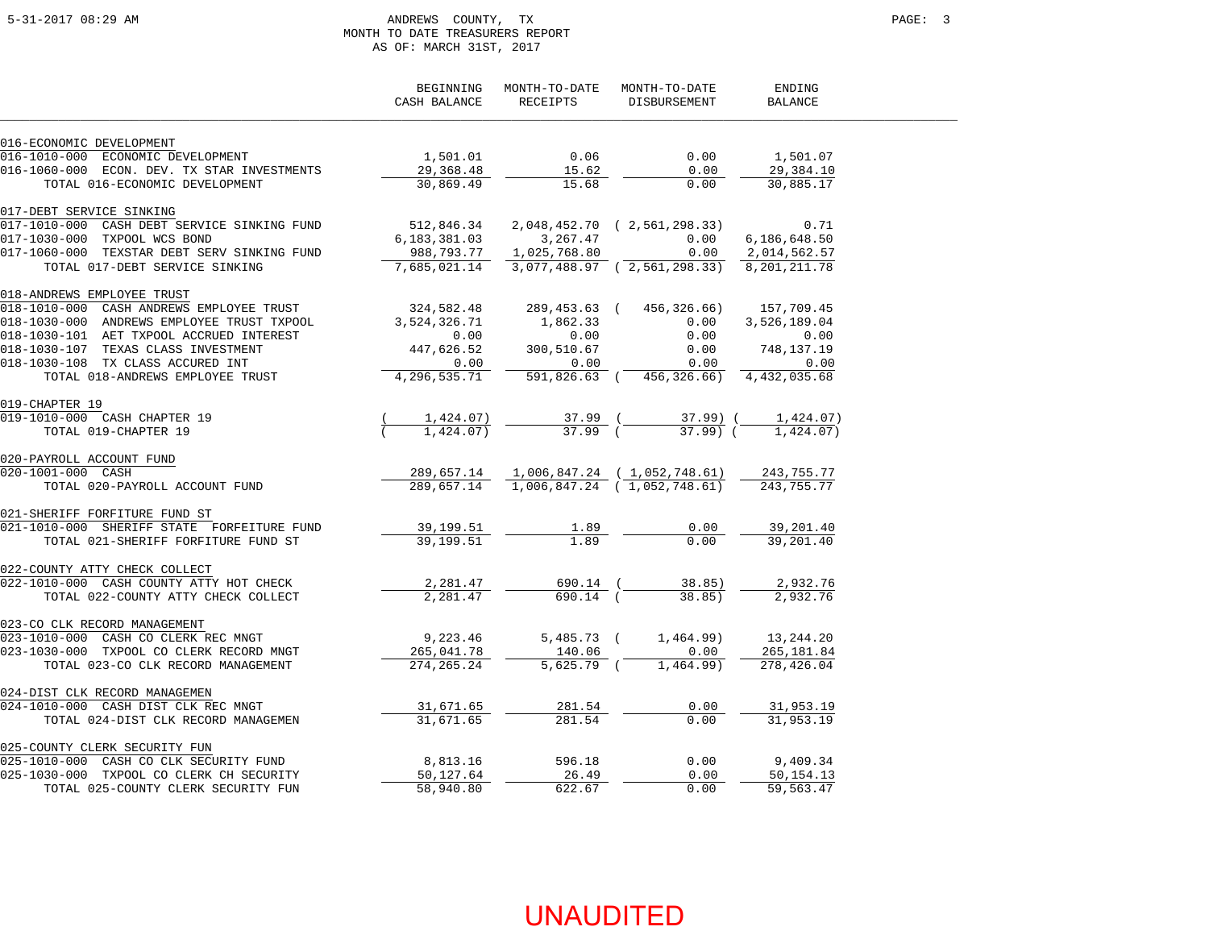### 5-31-2017 08:29 AM ANDREWS COUNTY, TX PAGE: 3 MONTH TO DATE TREASURERS REPORT AS OF: MARCH 31ST, 2017

|                                                                       | BEGINNING<br>CASH BALANCE | MONTH-TO-DATE<br>RECEIPTS | MONTH-TO-DATE<br>DISBURSEMENT                         | ENDING<br>BALANCE |  |
|-----------------------------------------------------------------------|---------------------------|---------------------------|-------------------------------------------------------|-------------------|--|
| 016-ECONOMIC DEVELOPMENT                                              |                           |                           |                                                       |                   |  |
| 016-1010-000 ECONOMIC DEVELOPMENT                                     | 1,501.01                  | 0.06                      | 0.00                                                  | 1,501.07          |  |
| 016-1060-000 ECON. DEV. TX STAR INVESTMENTS                           | 29,368.48                 | 15.62                     | 0.00                                                  | 29,384.10         |  |
| TOTAL 016-ECONOMIC DEVELOPMENT                                        | 30,869.49                 | 15.68                     | 0.00                                                  | 30,885.17         |  |
| 017-DEBT SERVICE SINKING                                              |                           |                           |                                                       |                   |  |
| 017-1010-000 CASH DEBT SERVICE SINKING FUND                           |                           |                           |                                                       | 0.71              |  |
| 017-1030-000 TXPOOL WCS BOND                                          | 6, 183, 381.03            | 3, 267, 47                | 0.00                                                  | 6,186,648.50      |  |
| 017-1060-000 TEXSTAR DEBT SERV SINKING FUND                           | 988,793.77                | 1,025,768.80              | 0.00                                                  | 2,014,562.57      |  |
| TOTAL 017-DEBT SERVICE SINKING                                        |                           |                           | 7,685,021.14 3,077,488.97 (2,561,298.33) 8,201,211.78 |                   |  |
| 018-ANDREWS EMPLOYEE TRUST                                            |                           |                           |                                                       |                   |  |
| $018-1010-0\overline{00}$ CASH ANDREWS EMPLOYEE TRUST                 | 324,582.48                |                           | 289, 453.63 (456, 326.66) 157, 709.45                 |                   |  |
| 018-1030-000 ANDREWS EMPLOYEE TRUST TXPOOL                            | 3,524,326.71              | 1,862.33                  | 0.00                                                  | 3,526,189.04      |  |
| 018-1030-101 AET TXPOOL ACCRUED INTEREST                              | 0.00                      | 0.00                      | 0.00                                                  | 0.00              |  |
| 018-1030-107 TEXAS CLASS INVESTMENT                                   | 447,626.52                | 300,510.67                | 0.00                                                  | 748,137.19        |  |
| 018-1030-108 TX CLASS ACCURED INT                                     | 0.00                      | 0.00                      | 0.00                                                  | 0.00              |  |
| TOTAL 018-ANDREWS EMPLOYEE TRUST                                      | 4,296,535.71              |                           | 591,826.63 ( 456,326.66) 4,432,035.68                 |                   |  |
| 019-CHAPTER 19                                                        |                           |                           |                                                       |                   |  |
| 019-1010-000 CASH CHAPTER 19                                          | 1,424.07)                 | $37.99$ (                 | 37.99) (                                              | 1,424.07)         |  |
| TOTAL 019-CHAPTER 19                                                  | 1,424.07)                 | $37.99$ (                 | 37.99) (                                              | 1,424.07          |  |
| 020-PAYROLL ACCOUNT FUND                                              |                           |                           |                                                       |                   |  |
| 020-1001-000 CASH                                                     | 289,657.14                |                           | 1,006,847.24 (1,052,748.61) 243,755.77                |                   |  |
| XXROLL ACCOUNT FUND<br>001-000 CASH<br>TOTAL 020-PAYROLL ACCOUNT FUND |                           |                           | 289,657.14 1,006,847.24 (1,052,748.61)                | 243,755.77        |  |
| 021-SHERIFF FORFITURE FUND ST                                         |                           |                           |                                                       |                   |  |
| 021-1010-000 SHERIFF STATE FORFEITURE FUND                            | 39,199.51                 | 1.89                      | 0.00                                                  | 39,201.40         |  |
| TOTAL 021-SHERIFF FORFITURE FUND ST                                   | 39,199.51                 | 1.89                      | 0.00                                                  | 39,201.40         |  |
| 022-COUNTY ATTY CHECK COLLECT                                         |                           |                           |                                                       |                   |  |
| 022-1010-000 CASH COUNTY ATTY HOT CHECK                               | 2,281.47                  | 690.14 (                  | 38.85)                                                | 2,932.76          |  |
| TOTAL 022-COUNTY ATTY CHECK COLLECT                                   | 2,281.47                  | 690.14 (                  | 38.85)                                                | 2,932.76          |  |
| 023-CO CLK RECORD MANAGEMENT                                          |                           |                           |                                                       |                   |  |
| 023-1010-000 CASH CO CLERK REC MNGT                                   | 9,223.46                  | $5,485.73$ (              | 1,464.99)                                             | 13,244.20         |  |
| 023-1030-000 TXPOOL CO CLERK RECORD MNGT                              | 265,041.78                | 140.06                    | 0.00                                                  | 265, 181.84       |  |
| TOTAL 023-CO CLK RECORD MANAGEMENT                                    | 274, 265. 24              | $5,625.79$ (              | 1,464.99)                                             | 278,426.04        |  |
| 024-DIST CLK RECORD MANAGEMEN                                         |                           |                           |                                                       |                   |  |
| 024-1010-000 CASH DIST CLK REC MNGT                                   | 31,671.65                 | 281.54                    | 0.00                                                  | 31,953.19         |  |
| TOTAL 024-DIST CLK RECORD MANAGEMEN                                   | 31,671.65                 | 281.54                    | 0.00                                                  | 31,953.19         |  |
| 025-COUNTY CLERK SECURITY FUN                                         |                           |                           |                                                       |                   |  |
| 025-1010-000 CASH CO CLK SECURITY FUND                                | 8,813.16                  | 596.18                    | 0.00                                                  | 9,409.34          |  |
| 025-1030-000 TXPOOL CO CLERK CH SECURITY                              | 50,127.64                 | 26.49                     | 0.00                                                  | 50,154.13         |  |
| TOTAL 025-COUNTY CLERK SECURITY FUN                                   | 58,940.80                 | 622.67                    | 0.00                                                  | 59,563.47         |  |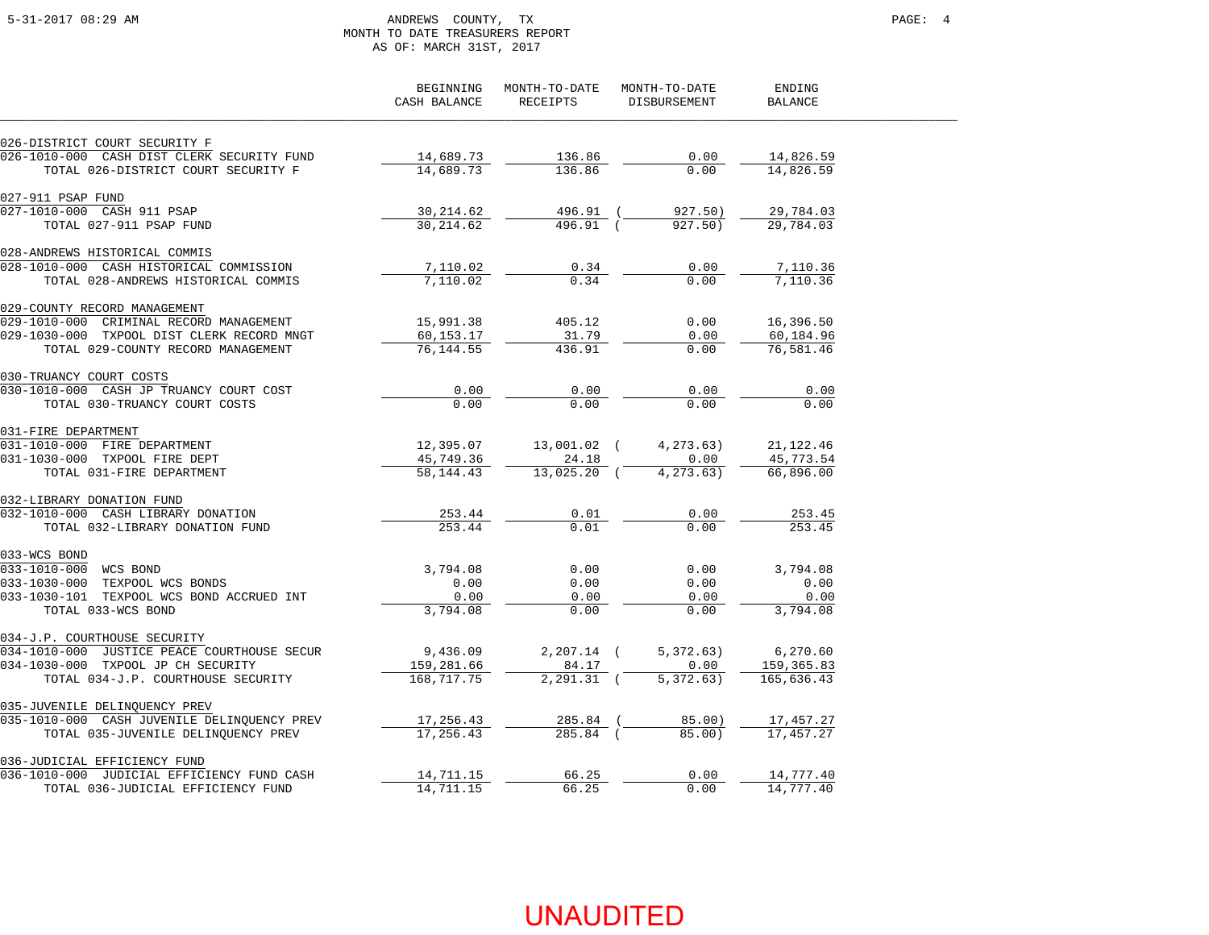### 5-31-2017 08:29 AM ANDREWS COUNTY, TX PAGE: 4 MONTH TO DATE TREASURERS REPORT AS OF: MARCH 31ST, 2017

|                                             | BEGINNING<br>CASH BALANCE | MONTH-TO-DATE<br>RECEIPTS | MONTH-TO-DATE<br>DISBURSEMENT | ENDING<br><b>BALANCE</b> |  |
|---------------------------------------------|---------------------------|---------------------------|-------------------------------|--------------------------|--|
| 026-DISTRICT COURT SECURITY F               |                           |                           |                               |                          |  |
| 026-1010-000 CASH DIST CLERK SECURITY FUND  | 14,689.73                 | 136.86                    | 0.00                          | 14,826.59                |  |
| TOTAL 026-DISTRICT COURT SECURITY F         | 14,689.73                 | 136.86                    | 0.00                          | 14,826.59                |  |
| 027-911 PSAP FUND                           |                           |                           |                               |                          |  |
| 027-1010-000 CASH 911 PSAP                  | 30,214.62                 | 496.91                    | 927.50)                       | 29,784.03                |  |
| TOTAL 027-911 PSAP FUND                     | 30, 214.62                | 496.91 (                  | 927.50)                       | 29,784.03                |  |
| 028-ANDREWS HISTORICAL COMMIS               |                           |                           |                               |                          |  |
| 028-1010-000 CASH HISTORICAL COMMISSION     | 7,110.02                  | 0.34                      | 0.00                          | 7,110.36                 |  |
| TOTAL 028-ANDREWS HISTORICAL COMMIS         | 7,110.02                  | 0.34                      | 0.00                          | 7,110.36                 |  |
| 029-COUNTY RECORD MANAGEMENT                |                           |                           |                               |                          |  |
| 029-1010-000 CRIMINAL RECORD MANAGEMENT     | 15,991.38                 | 405.12                    | 0.00                          | 16,396.50                |  |
| 029-1030-000 TXPOOL DIST CLERK RECORD MNGT  | 60,153.17                 | 31.79                     | 0.00                          | 60,184.96                |  |
| TOTAL 029-COUNTY RECORD MANAGEMENT          | 76, 144.55                | 436.91                    | 0.00                          | 76,581.46                |  |
| 030-TRUANCY COURT COSTS                     |                           |                           |                               |                          |  |
| 030-1010-000 CASH JP TRUANCY COURT COST     | 0.00                      | 0.00                      | 0.00                          | 0.00                     |  |
| TOTAL 030-TRUANCY COURT COSTS               | 0.00                      | 0.00                      | 0.00                          | 0.00                     |  |
| 031-FIRE DEPARTMENT                         |                           |                           |                               |                          |  |
| 031-1010-000 FIRE DEPARTMENT                | 12,395.07                 | 13,001.02 (               | 4,273.63)                     | 21,122.46                |  |
| 031-1030-000 TXPOOL FIRE DEPT               | 45,749.36                 | 24.18                     | 0.00                          | 45,773.54                |  |
| TOTAL 031-FIRE DEPARTMENT                   | 58, 144.43                | 13,025.20 (               | 4, 273.63)                    | 66,896.00                |  |
| 032-LIBRARY DONATION FUND                   |                           |                           |                               |                          |  |
| 032-1010-000 CASH LIBRARY DONATION          | 253.44                    | 0.01                      | 0.00                          | 253.45                   |  |
| TOTAL 032-LIBRARY DONATION FUND             | 253.44                    | 0.01                      | 0.00                          | 253.45                   |  |
| 033-WCS BOND                                |                           |                           |                               |                          |  |
| 033-1010-000 WCS BOND                       | 3,794.08                  | 0.00                      | 0.00                          | 3,794.08                 |  |
| 033-1030-000 TEXPOOL WCS BONDS              | 0.00                      | 0.00                      | 0.00                          | 0.00                     |  |
| 033-1030-101 TEXPOOL WCS BOND ACCRUED INT   | 0.00                      | 0.00                      | 0.00                          | 0.00                     |  |
| TOTAL 033-WCS BOND                          | 3,794.08                  | 0.00                      | 0.00                          | 3,794.08                 |  |
| 034-J.P. COURTHOUSE SECURITY                |                           |                           |                               |                          |  |
| 034-1010-000 JUSTICE PEACE COURTHOUSE SECUR | 9,436.09                  | $2,207.14$ (              | 5,372.63)                     | 6,270.60                 |  |
| 034-1030-000 TXPOOL JP CH SECURITY          | 159,281.66                | 84.17                     | 0.00                          | 159,365.83               |  |
| TOTAL 034-J.P. COURTHOUSE SECURITY          | 168,717.75                | $2, 291, 31$ (            | 5.372.63)                     | 165,636.43               |  |
| 035-JUVENILE DELINQUENCY PREV               |                           |                           |                               |                          |  |
| 035-1010-000 CASH JUVENILE DELINQUENCY PREV | 17,256.43                 | 285.84                    | 85.00)                        | 17,457.27                |  |
| TOTAL 035-JUVENILE DELINQUENCY PREV         | 17,256.43                 | 285.84 (                  | 85.00)                        | 17,457.27                |  |
| 036-JUDICIAL EFFICIENCY FUND                |                           |                           |                               |                          |  |
| 036-1010-000 JUDICIAL EFFICIENCY FUND CASH  | 14,711.15                 | 66.25                     | 0.00                          | 14,777.40                |  |
| TOTAL 036-JUDICIAL EFFICIENCY FUND          | 14,711.15                 | 66.25                     | 0.00                          | 14,777.40                |  |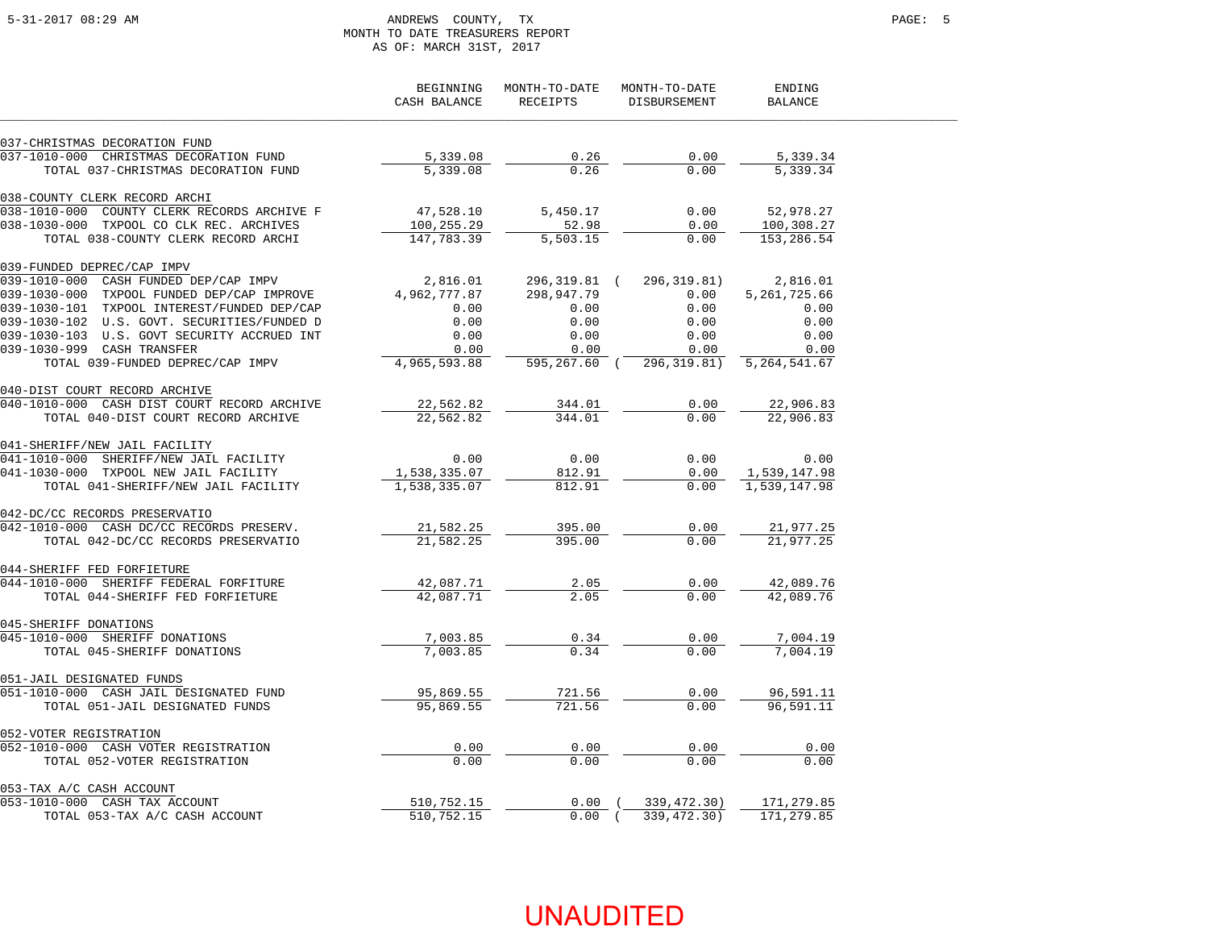### 5-31-2017 08:29 AM ANDREWS COUNTY, TX PAGE: 5 MONTH TO DATE TREASURERS REPORT AS OF: MARCH 31ST, 2017

|                                             | BEGINNING<br>CASH BALANCE | MONTH-TO-DATE<br><b>RECEIPTS</b> | MONTH-TO-DATE<br><b>DISBURSEMENT</b> | ENDING<br><b>BALANCE</b> |
|---------------------------------------------|---------------------------|----------------------------------|--------------------------------------|--------------------------|
| 037-CHRISTMAS DECORATION FUND               |                           |                                  |                                      |                          |
| 037-1010-000 CHRISTMAS DECORATION FUND      | 5,339.08                  | 0.26                             | 0.00                                 | 5,339.34                 |
| TOTAL 037-CHRISTMAS DECORATION FUND         | 5,339.08                  | 0.26                             | 0.00                                 | 5,339.34                 |
| 038-COUNTY CLERK RECORD ARCHI               |                           |                                  |                                      |                          |
| 038-1010-000 COUNTY CLERK RECORDS ARCHIVE F | 47,528.10                 | 5,450.17                         | 0.00                                 | 52,978.27                |
| 038-1030-000 TXPOOL CO CLK REC. ARCHIVES    | 100,255.29                | 52.98                            | 0.00                                 | 100,308.27               |
| TOTAL 038-COUNTY CLERK RECORD ARCHI         | 147,783.39                | 5,503.15                         | 0.00                                 | 153,286.54               |
| 039-FUNDED DEPREC/CAP IMPV                  |                           |                                  |                                      |                          |
| 039-1010-000 CASH FUNDED DEP/CAP IMPV       | 2,816.01                  | 296,319.81 (                     | 296,319.81)                          | 2,816.01                 |
| 039-1030-000 TXPOOL FUNDED DEP/CAP IMPROVE  | 4,962,777.87              | 298,947.79                       | 0.00                                 | 5,261,725.66             |
| 039-1030-101 TXPOOL INTEREST/FUNDED DEP/CAP | 0.00                      | 0.00                             | 0.00                                 | 0.00                     |
| 039-1030-102 U.S. GOVT. SECURITIES/FUNDED D | 0.00                      | 0.00                             | 0.00                                 | 0.00                     |
| 039-1030-103 U.S. GOVT SECURITY ACCRUED INT | 0.00                      | 0.00                             | 0.00                                 | 0.00                     |
| 039-1030-999 CASH TRANSFER                  | 0.00                      | 0.00                             | 0.00                                 | 0.00                     |
| TOTAL 039-FUNDED DEPREC/CAP IMPV            | 4,965,593.88              | 595,267.60 (                     | 296,319.81)                          | 5, 264, 541.67           |
| 040-DIST COURT RECORD ARCHIVE               |                           |                                  |                                      |                          |
| 040-1010-000 CASH DIST COURT RECORD ARCHIVE | 22,562.82                 | 344.01                           | 0.00                                 | 22,906.83                |
| TOTAL 040-DIST COURT RECORD ARCHIVE         | 22,562.82                 | 344.01                           | 0.00                                 | 22,906.83                |
| 041-SHERIFF/NEW JAIL FACILITY               |                           |                                  |                                      |                          |
| SHERIFF/NEW JAIL FACILITY<br>041-1010-000   | 0.00                      | 0.00                             | 0.00                                 | 0.00                     |
| 041-1030-000 TXPOOL NEW JAIL FACILITY       | 1,538,335.07              | 812.91                           | 0.00                                 | 1,539,147.98             |
| TOTAL 041-SHERIFF/NEW JAIL FACILITY         | 1,538,335.07              | 812.91                           | 0.00                                 | 1,539,147.98             |
| 042-DC/CC RECORDS PRESERVATIO               |                           |                                  |                                      |                          |
| 042-1010-000 CASH DC/CC RECORDS PRESERV.    | 21,582.25                 | 395.00                           | 0.00                                 | 21,977.25                |
| TOTAL 042-DC/CC RECORDS PRESERVATIO         | 21,582.25                 | 395.00                           | 0.00                                 | 21,977.25                |
| 044-SHERIFF FED FORFIETURE                  |                           |                                  |                                      |                          |
| 044-1010-000 SHERIFF FEDERAL FORFITURE      | 42,087.71                 | 2.05                             | 0.00                                 | 42,089.76                |
| TOTAL 044-SHERIFF FED FORFIETURE            | 42,087.71                 | 2.05                             | 0.00                                 | 42,089.76                |
| 045-SHERIFF DONATIONS                       |                           |                                  |                                      |                          |
| 045-1010-000 SHERIFF DONATIONS              | 7,003.85                  | 0.34                             | 0.00                                 | 7,004.19                 |
| TOTAL 045-SHERIFF DONATIONS                 | 7,003.85                  | 0.34                             | 0.00                                 | 7,004.19                 |
| 051-JAIL DESIGNATED FUNDS                   |                           |                                  |                                      |                          |
| 051-1010-000 CASH JAIL DESIGNATED FUND      | 95,869.55                 | 721.56                           | 0.00                                 | 96,591.11                |
| TOTAL 051-JAIL DESIGNATED FUNDS             | 95,869.55                 | 721.56                           | 0.00                                 | 96,591.11                |
| 052-VOTER REGISTRATION                      |                           |                                  |                                      |                          |
| 052-1010-000 CASH VOTER REGISTRATION        | 0.00                      | 0.00                             | 0.00                                 | 0.00                     |
| TOTAL 052-VOTER REGISTRATION                | 0.00                      | 0.00                             | 0.00                                 | 0.00                     |
| 053-TAX A/C CASH ACCOUNT                    |                           |                                  |                                      |                          |
| 053-1010-000 CASH TAX ACCOUNT               | 510,752.15                | $0.00$ (                         | 339,472.30)                          | 171,279.85               |
| TOTAL 053-TAX A/C CASH ACCOUNT              | 510,752.15                | 0.00(                            | 339, 472.30)                         | 171,279.85               |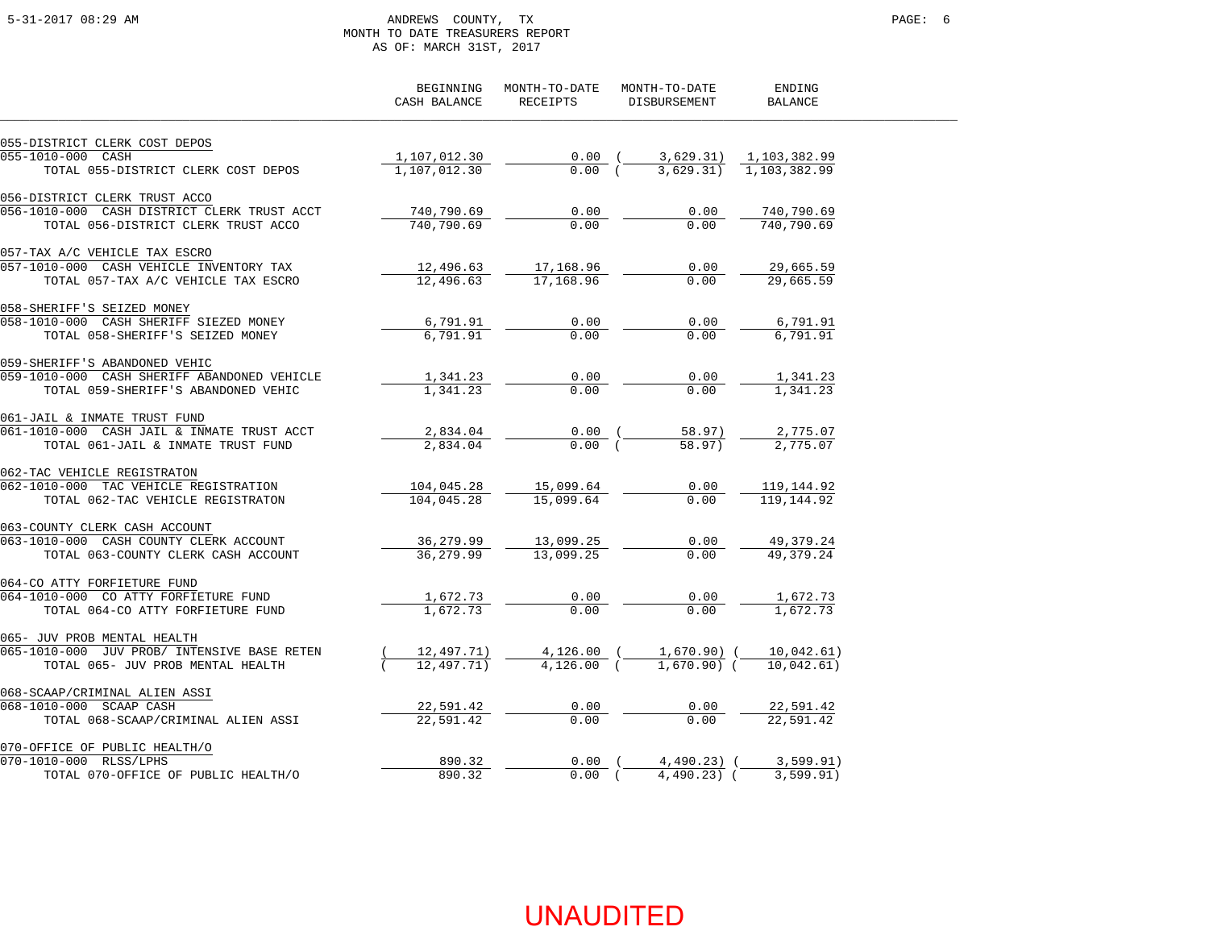### 5-31-2017 08:29 AM ANDREWS COUNTY, TX PAGE: 6 MONTH TO DATE TREASURERS REPORT AS OF: MARCH 31ST, 2017

|                                                               | BEGINNING<br>CASH BALANCE | MONTH-TO-DATE<br><b>RECEIPTS</b> | MONTH-TO-DATE<br><b>DISBURSEMENT</b> | ENDING<br><b>BALANCE</b> |
|---------------------------------------------------------------|---------------------------|----------------------------------|--------------------------------------|--------------------------|
| 055-DISTRICT CLERK COST DEPOS                                 |                           |                                  |                                      |                          |
| 055-1010-000 CASH                                             | 1,107,012.30              | $0.00$ (                         | 3,629.31)                            | 1,103,382.99             |
| TOTAL 055-DISTRICT CLERK COST DEPOS                           | 1,107,012.30              | 0.00(                            | 3,629.31)                            | 1,103,382.99             |
| 056-DISTRICT CLERK TRUST ACCO                                 |                           |                                  |                                      |                          |
| 056-1010-000 CASH DISTRICT CLERK TRUST ACCT                   | 740,790.69                | 0.00                             | 0.00                                 | 740,790.69               |
| TOTAL 056-DISTRICT CLERK TRUST ACCO                           | 740,790.69                | 0.00                             | 0.00                                 | 740,790.69               |
| 057-TAX A/C VEHICLE TAX ESCRO                                 |                           |                                  |                                      |                          |
| 057-1010-000 CASH VEHICLE INVENTORY TAX                       | 12,496.63                 | 17,168.96                        | 0.00                                 | 29,665.59                |
| TOTAL 057-TAX A/C VEHICLE TAX ESCRO                           | 12,496.63                 | 17,168.96                        | 0.00                                 | 29,665.59                |
| 058-SHERIFF'S SEIZED MONEY                                    |                           |                                  |                                      |                          |
| 058-1010-000 CASH SHERIFF SIEZED MONEY                        | 6,791.91                  | 0.00                             | 0.00                                 | 6,791.91                 |
| TOTAL 058-SHERIFF'S SEIZED MONEY                              | 6,791.91                  | 0.00                             | 0.00                                 | 6,791.91                 |
| 059-SHERIFF'S ABANDONED VEHIC                                 |                           |                                  |                                      |                          |
| 059-1010-000 CASH SHERIFF ABANDONED VEHICLE                   | 1,341.23                  | 0.00                             | 0.00                                 | 1,341.23                 |
| TOTAL 059-SHERIFF'S ABANDONED VEHIC                           | 1,341.23                  | 0.00                             | 0.00                                 | 1,341.23                 |
| 061-JAIL & INMATE TRUST FUND                                  |                           |                                  |                                      |                          |
| 061-1010-000 CASH JAIL & INMATE TRUST ACCT                    | 2,834.04                  | $0.00$ (                         | 58.97)                               | 2,775.07                 |
| TOTAL 061-JAIL & INMATE TRUST FUND                            | 2,834.04                  | 0.00(                            | 58.97)                               | 2,775.07                 |
| 062-TAC VEHICLE REGISTRATON                                   |                           |                                  |                                      |                          |
| 062-1010-000 TAC VEHICLE REGISTRATION                         | 104,045.28                | 15,099.64                        | 0.00                                 | 119,144.92               |
| TOTAL 062-TAC VEHICLE REGISTRATON                             | 104,045.28                | 15,099.64                        | 0.00                                 | 119, 144.92              |
| 063-COUNTY CLERK CASH ACCOUNT                                 |                           |                                  |                                      |                          |
| 063-1010-000 CASH COUNTY CLERK ACCOUNT                        | 36,279.99                 | 13,099.25                        | 0.00                                 | 49,379.24                |
| TOTAL 063-COUNTY CLERK CASH ACCOUNT                           | 36.279.99                 | 13,099.25                        | 0.00                                 | 49.379.24                |
| 064-CO ATTY FORFIETURE FUND                                   |                           |                                  |                                      |                          |
| 064-1010-000 CO ATTY FORFIETURE FUND                          | 1,672.73                  | 0.00                             | 0.00                                 | 1,672.73                 |
| TOTAL 064-CO ATTY FORFIETURE FUND                             | 1,672.73                  | 0.00                             | 0.00                                 | 1,672.73                 |
| 065- JUV PROB MENTAL HEALTH                                   |                           |                                  |                                      |                          |
| 065-1010-000 JUV PROB/ INTENSIVE BASE RETEN                   | 12,497.71)                | $4,126.00$ (                     | 1,670.90) (                          | 10,042.61)               |
| TOTAL 065- JUV PROB MENTAL HEALTH                             | 12,497,71)                | $4.126.00$ (                     | $1.670.90)$ (                        | 10.042.61)               |
| 068-SCAAP/CRIMINAL ALIEN ASSI                                 |                           |                                  |                                      |                          |
| 068-1010-000 SCAAP CASH                                       | 22,591.42                 | 0.00                             | 0.00                                 | 22,591.42                |
| TOTAL 068-SCAAP/CRIMINAL ALIEN ASSI                           | 22,591.42                 | 0.00                             | 0.00                                 | 22,591.42                |
| 070-OFFICE OF PUBLIC HEALTH/O                                 |                           |                                  |                                      |                          |
| 070-1010-000 RLSS/LPHS<br>TOTAL 070-OFFICE OF PUBLIC HEALTH/O | 890.32                    | 0.00                             | $4,490.23)$ (                        | 3,599.91)                |
|                                                               | 890.32                    | $0.00$ (                         | $4,490.23$ (                         | 3.599.91)                |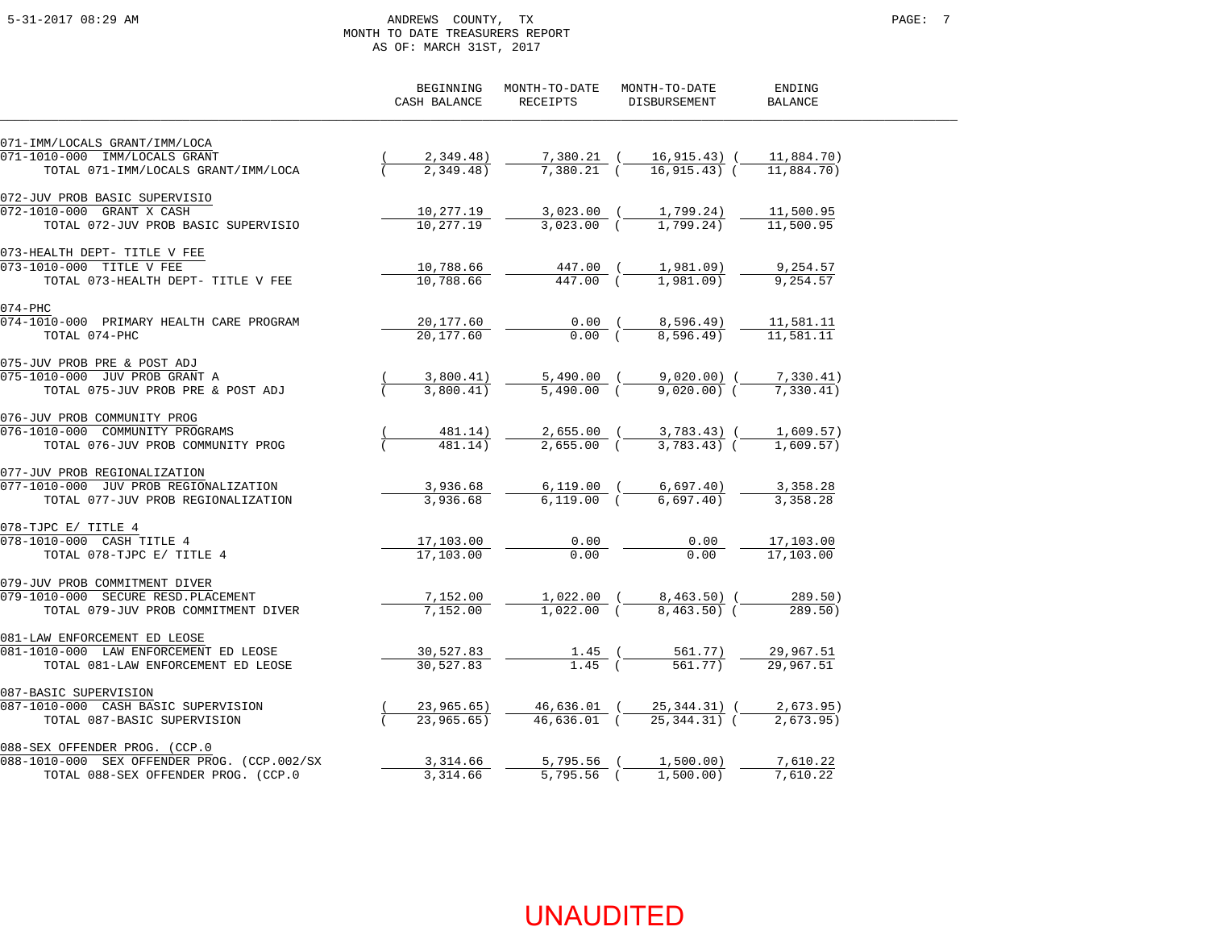### 5-31-2017 08:29 AM ANDREWS COUNTY, TX PAGE: 7 MONTH TO DATE TREASURERS REPORT AS OF: MARCH 31ST, 2017

|                                             | BEGINNING<br>CASH BALANCE | MONTH-TO-DATE<br>RECEIPTS | MONTH-TO-DATE<br>DISBURSEMENT         | ENDING<br><b>BALANCE</b> |
|---------------------------------------------|---------------------------|---------------------------|---------------------------------------|--------------------------|
| 071-IMM/LOCALS GRANT/IMM/LOCA               |                           |                           |                                       |                          |
| 071-1010-000 IMM/LOCALS GRANT               | 2,349.48)                 | 7,380.21 (                | 16,915.43) (                          | 11,884.70)               |
| TOTAL 071-IMM/LOCALS GRANT/IMM/LOCA         | 2,349.48                  | $7.380.21$ (              | $16.915.43$ ) (                       | 11,884.70)               |
| 072-JUV PROB BASIC SUPERVISIO               |                           |                           |                                       |                          |
| 072-1010-000 GRANT X CASH                   | 10,277.19                 | $3,023.00$ (              | 1,799.24)                             | 11,500.95                |
| TOTAL 072-JUV PROB BASIC SUPERVISIO         | 10,277.19                 | $3.023.00$ (              | 1,799.24)                             | 11,500.95                |
| 073-HEALTH DEPT- TITLE V FEE                |                           |                           |                                       |                          |
| 073-1010-000 TITLE V FEE                    | 10,788.66                 | 447.00 (                  | 1,981.09)                             | 9,254.57                 |
| TOTAL 073-HEALTH DEPT- TITLE V FEE          | 10,788.66                 | 447.00 (                  | $1,981,09$ )                          | 9,254.57                 |
| $074 - PHC$                                 |                           |                           |                                       |                          |
| 074-1010-000 PRIMARY HEALTH CARE PROGRAM    | 20,177.60                 | $0.00$ (                  | 8,596.49)                             | 11,581.11                |
| TOTAL 074-PHC                               | 20,177.60                 | 0.00(                     | 8,596.49)                             | 11,581.11                |
| 075-JUV PROB PRE & POST ADJ                 |                           |                           |                                       |                          |
| 075-1010-000 JUV PROB GRANT A               | 3,800.41)                 |                           | 5,490.00 (9,020.00) (                 | 7,330.41)                |
| TOTAL 075-JUV PROB PRE & POST ADJ           | 3.800.41)                 | $5,490.00$ (              | $9,020.00)$ (                         | 7,330.41)                |
| 076-JUV PROB COMMUNITY PROG                 |                           |                           |                                       |                          |
| 076-1010-000 COMMUNITY PROGRAMS             | 481.14)                   |                           | $2,655.00$ ( $3,783.43$ ) ( 1,609.57) |                          |
| TOTAL 076-JUV PROB COMMUNITY PROG           | 481.14)                   | $2,655.00$ (              | $3.783.43$ (                          | 1,609.57)                |
| 077-JUV PROB REGIONALIZATION                |                           |                           |                                       |                          |
| 077-1010-000 JUV PROB REGIONALIZATION       | 3,936.68                  |                           | $6,119.00$ ( $6,697.40$ )             | 3,358.28                 |
| TOTAL 077-JUV PROB REGIONALIZATION          | 3,936.68                  | $6.119.00$ (              | 6.697.40                              | 3,358.28                 |
| 078-TJPC E/ TITLE 4                         |                           |                           |                                       |                          |
| 078-1010-000 CASH TITLE 4                   | 17,103.00                 | 0.00                      | 0.00                                  | 17,103.00                |
| TOTAL 078-TJPC E/ TITLE 4                   | 17,103.00                 | 0.00                      | 0.00                                  | 17,103.00                |
| 079-JUV PROB COMMITMENT DIVER               |                           |                           |                                       |                          |
| 079-1010-000 SECURE RESD. PLACEMENT         | 7,152.00                  |                           | $1,022.00$ ( $8,463.50$ (             | 289.50)                  |
| TOTAL 079-JUV PROB COMMITMENT DIVER         | 7.152.00                  | $1,022,00$ (              | $8,463,50$ (                          | 289.50)                  |
| 081-LAW ENFORCEMENT ED LEOSE                |                           |                           |                                       |                          |
| 081-1010-000 LAW ENFORCEMENT ED LEOSE       | 30,527.83                 | $1.45$ (                  | 561.77)                               | 29,967.51                |
| TOTAL 081-LAW ENFORCEMENT ED LEOSE          | 30, 527.83                | $1.45$ (                  | 561.77)                               | 29,967.51                |
| 087-BASIC SUPERVISION                       |                           |                           |                                       |                          |
| 087-1010-000 CASH BASIC SUPERVISION         | 23,965.65)                | 46,636.01 (               | 25,344.31) (                          | 2,673.95)                |
| TOTAL 087-BASIC SUPERVISION                 | 23,965,65)                | $46.636.01$ (             | $25.344.31$ (                         | 2.673.95                 |
| 088-SEX OFFENDER PROG. (CCP.0               |                           |                           |                                       |                          |
| 088-1010-000 SEX OFFENDER PROG. (CCP.002/SX | 3,314.66                  | 5,795.56                  | 1,500.00)                             | 7,610.22                 |
| TOTAL 088-SEX OFFENDER PROG. (CCP.0         | 3,314.66                  | $5,795.56$ (              | 1,500,00)                             | 7,610.22                 |